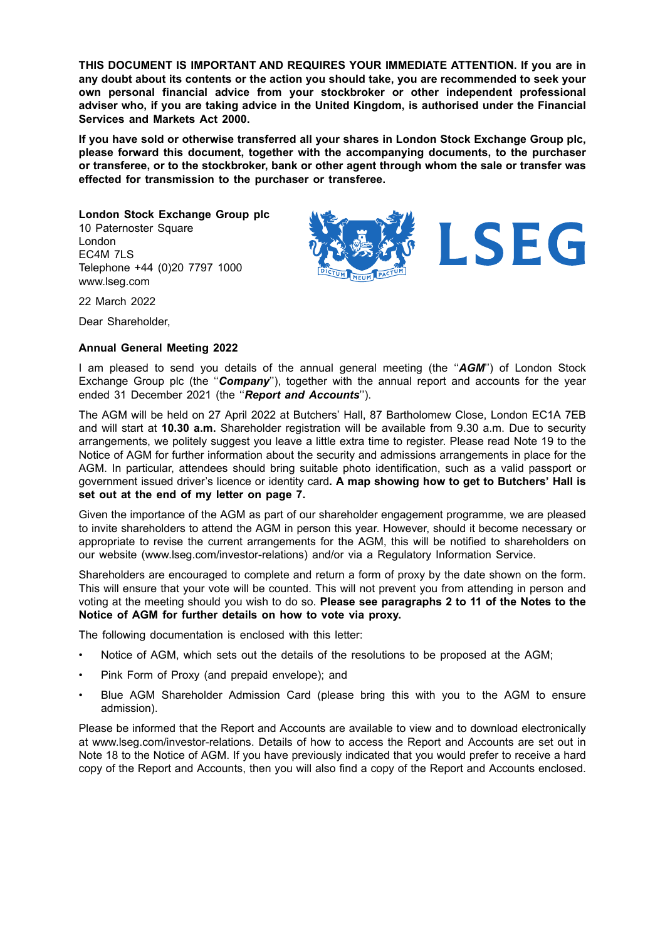**THIS DOCUMENT IS IMPORTANT AND REQUIRES YOUR IMMEDIATE ATTENTION. If you are in any doubt about its contents or the action you should take, you are recommended to seek your own personal financial advice from your stockbroker or other independent professional adviser who, if you are taking advice in the United Kingdom, is authorised under the Financial Services and Markets Act 2000.**

**If you have sold or otherwise transferred all your shares in London Stock Exchange Group plc, please forward this document, together with the accompanying documents, to the purchaser or transferee, or to the stockbroker, bank or other agent through whom the sale or transfer was effected for transmission to the purchaser or transferee.**

LSEG

**London Stock Exchange Group plc** 10 Paternoster Square London EC4M 7LS Telephone +44 (0)20 7797 1000 www.lseg.com

22 March 2022

Dear Shareholder,

## **Annual General Meeting 2022**

I am pleased to send you details of the annual general meeting (the ''*AGM*'') of London Stock Exchange Group plc (the "**Company**"), together with the annual report and accounts for the year ended 31 December 2021 (the ''*Report and Accounts*'').

The AGM will be held on 27 April 2022 at Butchers' Hall, 87 Bartholomew Close, London EC1A 7EB and will start at **10.30 a.m.** Shareholder registration will be available from 9.30 a.m. Due to security arrangements, we politely suggest you leave a little extra time to register. Please read Note 19 to the Notice of AGM for further information about the security and admissions arrangements in place for the AGM. In particular, attendees should bring suitable photo identification, such as a valid passport or government issued driver's licence or identity card**. A map showing how to get to Butchers' Hall is set out at the end of my letter on page 7.**

Given the importance of the AGM as part of our shareholder engagement programme, we are pleased to invite shareholders to attend the AGM in person this year. However, should it become necessary or appropriate to revise the current arrangements for the AGM, this will be notified to shareholders on our website (www.lseg.com/investor-relations) and/or via a Regulatory Information Service.

Shareholders are encouraged to complete and return a form of proxy by the date shown on the form. This will ensure that your vote will be counted. This will not prevent you from attending in person and voting at the meeting should you wish to do so. **Please see paragraphs 2 to 11 of the Notes to the Notice of AGM for further details on how to vote via proxy.**

The following documentation is enclosed with this letter:

- Notice of AGM, which sets out the details of the resolutions to be proposed at the AGM;
- Pink Form of Proxy (and prepaid envelope); and
- Blue AGM Shareholder Admission Card (please bring this with you to the AGM to ensure admission).

Please be informed that the Report and Accounts are available to view and to download electronically at www.lseg.com/investor-relations. Details of how to access the Report and Accounts are set out in Note 18 to the Notice of AGM. If you have previously indicated that you would prefer to receive a hard copy of the Report and Accounts, then you will also find a copy of the Report and Accounts enclosed.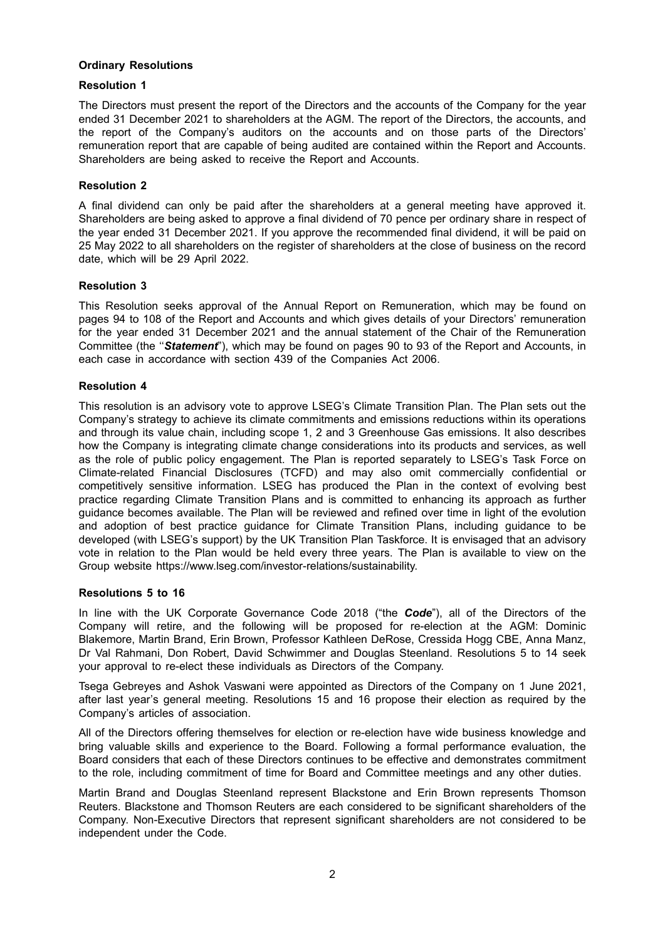# **Ordinary Resolutions**

## **Resolution 1**

The Directors must present the report of the Directors and the accounts of the Company for the year ended 31 December 2021 to shareholders at the AGM. The report of the Directors, the accounts, and the report of the Company's auditors on the accounts and on those parts of the Directors' remuneration report that are capable of being audited are contained within the Report and Accounts. Shareholders are being asked to receive the Report and Accounts.

# **Resolution 2**

A final dividend can only be paid after the shareholders at a general meeting have approved it. Shareholders are being asked to approve a final dividend of 70 pence per ordinary share in respect of the year ended 31 December 2021. If you approve the recommended final dividend, it will be paid on 25 May 2022 to all shareholders on the register of shareholders at the close of business on the record date, which will be 29 April 2022.

## **Resolution 3**

This Resolution seeks approval of the Annual Report on Remuneration, which may be found on pages 94 to 108 of the Report and Accounts and which gives details of your Directors' remuneration for the year ended 31 December 2021 and the annual statement of the Chair of the Remuneration Committee (the ''*Statement*"), which may be found on pages 90 to 93 of the Report and Accounts, in each case in accordance with section 439 of the Companies Act 2006.

## **Resolution 4**

This resolution is an advisory vote to approve LSEG's Climate Transition Plan. The Plan sets out the Company's strategy to achieve its climate commitments and emissions reductions within its operations and through its value chain, including scope 1, 2 and 3 Greenhouse Gas emissions. It also describes how the Company is integrating climate change considerations into its products and services, as well as the role of public policy engagement. The Plan is reported separately to LSEG's Task Force on Climate-related Financial Disclosures (TCFD) and may also omit commercially confidential or competitively sensitive information. LSEG has produced the Plan in the context of evolving best practice regarding Climate Transition Plans and is committed to enhancing its approach as further guidance becomes available. The Plan will be reviewed and refined over time in light of the evolution and adoption of best practice guidance for Climate Transition Plans, including guidance to be developed (with LSEG's support) by the UK Transition Plan Taskforce. It is envisaged that an advisory vote in relation to the Plan would be held every three years. The Plan is available to view on the Group website https://www.lseg.com/investor-relations/sustainability.

## **Resolutions 5 to 16**

In line with the UK Corporate Governance Code 2018 ("the *Code*"), all of the Directors of the Company will retire, and the following will be proposed for re-election at the AGM: Dominic Blakemore, Martin Brand, Erin Brown, Professor Kathleen DeRose, Cressida Hogg CBE, Anna Manz, Dr Val Rahmani, Don Robert, David Schwimmer and Douglas Steenland. Resolutions 5 to 14 seek your approval to re-elect these individuals as Directors of the Company.

Tsega Gebreyes and Ashok Vaswani were appointed as Directors of the Company on 1 June 2021, after last year's general meeting. Resolutions 15 and 16 propose their election as required by the Company's articles of association.

All of the Directors offering themselves for election or re-election have wide business knowledge and bring valuable skills and experience to the Board. Following a formal performance evaluation, the Board considers that each of these Directors continues to be effective and demonstrates commitment to the role, including commitment of time for Board and Committee meetings and any other duties.

Martin Brand and Douglas Steenland represent Blackstone and Erin Brown represents Thomson Reuters. Blackstone and Thomson Reuters are each considered to be significant shareholders of the Company. Non-Executive Directors that represent significant shareholders are not considered to be independent under the Code.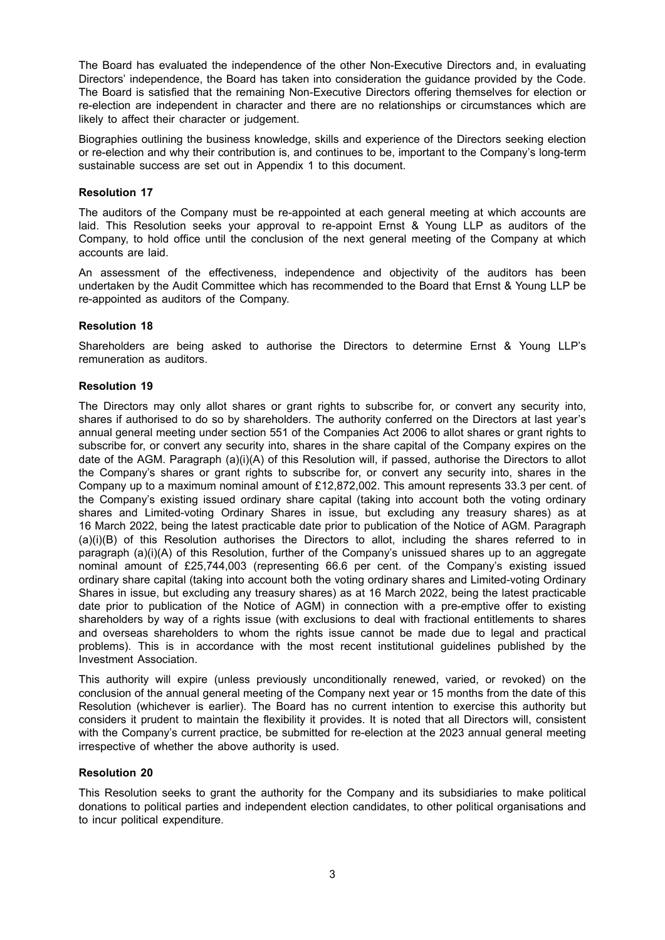The Board has evaluated the independence of the other Non-Executive Directors and, in evaluating Directors' independence, the Board has taken into consideration the guidance provided by the Code. The Board is satisfied that the remaining Non-Executive Directors offering themselves for election or re-election are independent in character and there are no relationships or circumstances which are likely to affect their character or judgement.

Biographies outlining the business knowledge, skills and experience of the Directors seeking election or re-election and why their contribution is, and continues to be, important to the Company's long-term sustainable success are set out in Appendix 1 to this document.

## **Resolution 17**

The auditors of the Company must be re-appointed at each general meeting at which accounts are laid. This Resolution seeks your approval to re-appoint Ernst & Young LLP as auditors of the Company, to hold office until the conclusion of the next general meeting of the Company at which accounts are laid.

An assessment of the effectiveness, independence and objectivity of the auditors has been undertaken by the Audit Committee which has recommended to the Board that Ernst & Young LLP be re-appointed as auditors of the Company.

## **Resolution 18**

Shareholders are being asked to authorise the Directors to determine Ernst & Young LLP's remuneration as auditors.

## **Resolution 19**

The Directors may only allot shares or grant rights to subscribe for, or convert any security into, shares if authorised to do so by shareholders. The authority conferred on the Directors at last year's annual general meeting under section 551 of the Companies Act 2006 to allot shares or grant rights to subscribe for, or convert any security into, shares in the share capital of the Company expires on the date of the AGM. Paragraph (a)(i)(A) of this Resolution will, if passed, authorise the Directors to allot the Company's shares or grant rights to subscribe for, or convert any security into, shares in the Company up to a maximum nominal amount of £12,872,002. This amount represents 33.3 per cent. of the Company's existing issued ordinary share capital (taking into account both the voting ordinary shares and Limited-voting Ordinary Shares in issue, but excluding any treasury shares) as at 16 March 2022, being the latest practicable date prior to publication of the Notice of AGM. Paragraph (a)(i)(B) of this Resolution authorises the Directors to allot, including the shares referred to in paragraph (a)(i)(A) of this Resolution, further of the Company's unissued shares up to an aggregate nominal amount of £25,744,003 (representing 66.6 per cent. of the Company's existing issued ordinary share capital (taking into account both the voting ordinary shares and Limited-voting Ordinary Shares in issue, but excluding any treasury shares) as at 16 March 2022, being the latest practicable date prior to publication of the Notice of AGM) in connection with a pre-emptive offer to existing shareholders by way of a rights issue (with exclusions to deal with fractional entitlements to shares and overseas shareholders to whom the rights issue cannot be made due to legal and practical problems). This is in accordance with the most recent institutional guidelines published by the Investment Association.

This authority will expire (unless previously unconditionally renewed, varied, or revoked) on the conclusion of the annual general meeting of the Company next year or 15 months from the date of this Resolution (whichever is earlier). The Board has no current intention to exercise this authority but considers it prudent to maintain the flexibility it provides. It is noted that all Directors will, consistent with the Company's current practice, be submitted for re-election at the 2023 annual general meeting irrespective of whether the above authority is used.

# **Resolution 20**

This Resolution seeks to grant the authority for the Company and its subsidiaries to make political donations to political parties and independent election candidates, to other political organisations and to incur political expenditure.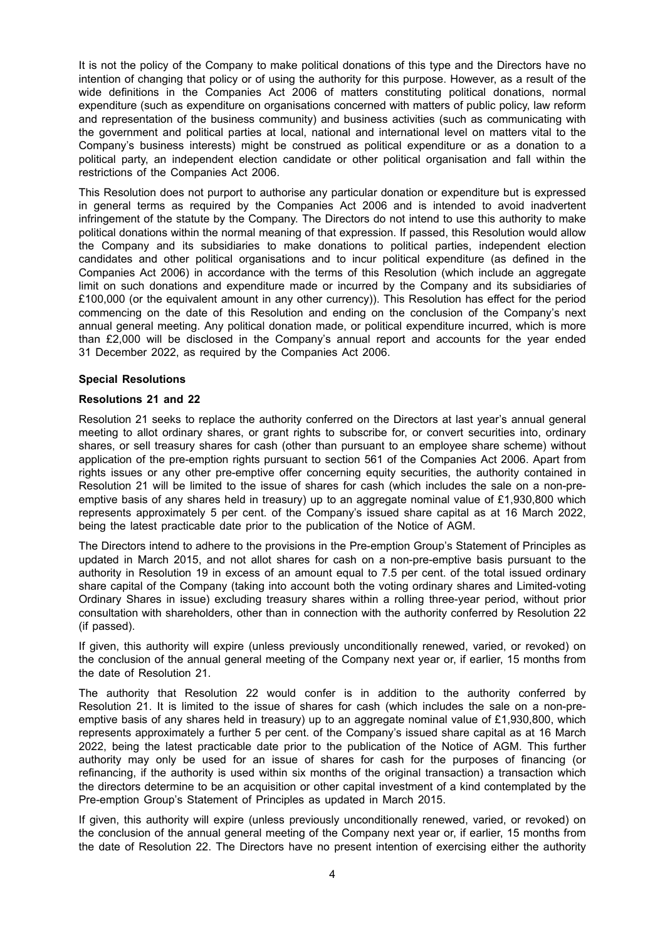It is not the policy of the Company to make political donations of this type and the Directors have no intention of changing that policy or of using the authority for this purpose. However, as a result of the wide definitions in the Companies Act 2006 of matters constituting political donations, normal expenditure (such as expenditure on organisations concerned with matters of public policy, law reform and representation of the business community) and business activities (such as communicating with the government and political parties at local, national and international level on matters vital to the Company's business interests) might be construed as political expenditure or as a donation to a political party, an independent election candidate or other political organisation and fall within the restrictions of the Companies Act 2006.

This Resolution does not purport to authorise any particular donation or expenditure but is expressed in general terms as required by the Companies Act 2006 and is intended to avoid inadvertent infringement of the statute by the Company. The Directors do not intend to use this authority to make political donations within the normal meaning of that expression. If passed, this Resolution would allow the Company and its subsidiaries to make donations to political parties, independent election candidates and other political organisations and to incur political expenditure (as defined in the Companies Act 2006) in accordance with the terms of this Resolution (which include an aggregate limit on such donations and expenditure made or incurred by the Company and its subsidiaries of £100,000 (or the equivalent amount in any other currency)). This Resolution has effect for the period commencing on the date of this Resolution and ending on the conclusion of the Company's next annual general meeting. Any political donation made, or political expenditure incurred, which is more than £2,000 will be disclosed in the Company's annual report and accounts for the year ended 31 December 2022, as required by the Companies Act 2006.

# **Special Resolutions**

## **Resolutions 21 and 22**

Resolution 21 seeks to replace the authority conferred on the Directors at last year's annual general meeting to allot ordinary shares, or grant rights to subscribe for, or convert securities into, ordinary shares, or sell treasury shares for cash (other than pursuant to an employee share scheme) without application of the pre-emption rights pursuant to section 561 of the Companies Act 2006. Apart from rights issues or any other pre-emptive offer concerning equity securities, the authority contained in Resolution 21 will be limited to the issue of shares for cash (which includes the sale on a non-preemptive basis of any shares held in treasury) up to an aggregate nominal value of £1,930,800 which represents approximately 5 per cent. of the Company's issued share capital as at 16 March 2022, being the latest practicable date prior to the publication of the Notice of AGM.

The Directors intend to adhere to the provisions in the Pre-emption Group's Statement of Principles as updated in March 2015, and not allot shares for cash on a non-pre-emptive basis pursuant to the authority in Resolution 19 in excess of an amount equal to 7.5 per cent. of the total issued ordinary share capital of the Company (taking into account both the voting ordinary shares and Limited-voting Ordinary Shares in issue) excluding treasury shares within a rolling three-year period, without prior consultation with shareholders, other than in connection with the authority conferred by Resolution 22 (if passed).

If given, this authority will expire (unless previously unconditionally renewed, varied, or revoked) on the conclusion of the annual general meeting of the Company next year or, if earlier, 15 months from the date of Resolution 21.

The authority that Resolution 22 would confer is in addition to the authority conferred by Resolution 21. It is limited to the issue of shares for cash (which includes the sale on a non-preemptive basis of any shares held in treasury) up to an aggregate nominal value of £1,930,800, which represents approximately a further 5 per cent. of the Company's issued share capital as at 16 March 2022, being the latest practicable date prior to the publication of the Notice of AGM. This further authority may only be used for an issue of shares for cash for the purposes of financing (or refinancing, if the authority is used within six months of the original transaction) a transaction which the directors determine to be an acquisition or other capital investment of a kind contemplated by the Pre-emption Group's Statement of Principles as updated in March 2015.

If given, this authority will expire (unless previously unconditionally renewed, varied, or revoked) on the conclusion of the annual general meeting of the Company next year or, if earlier, 15 months from the date of Resolution 22. The Directors have no present intention of exercising either the authority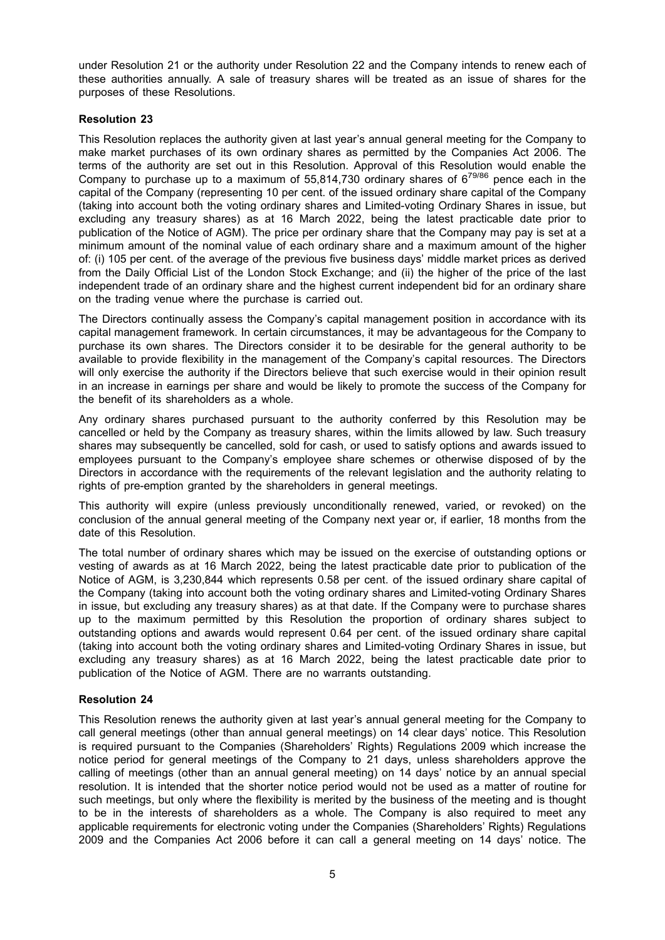under Resolution 21 or the authority under Resolution 22 and the Company intends to renew each of these authorities annually. A sale of treasury shares will be treated as an issue of shares for the purposes of these Resolutions.

# **Resolution 23**

This Resolution replaces the authority given at last year's annual general meeting for the Company to make market purchases of its own ordinary shares as permitted by the Companies Act 2006. The terms of the authority are set out in this Resolution. Approval of this Resolution would enable the Company to purchase up to a maximum of 55,814,730 ordinary shares of  $6^{79/86}$  pence each in the capital of the Company (representing 10 per cent. of the issued ordinary share capital of the Company (taking into account both the voting ordinary shares and Limited-voting Ordinary Shares in issue, but excluding any treasury shares) as at 16 March 2022, being the latest practicable date prior to publication of the Notice of AGM). The price per ordinary share that the Company may pay is set at a minimum amount of the nominal value of each ordinary share and a maximum amount of the higher of: (i) 105 per cent. of the average of the previous five business days' middle market prices as derived from the Daily Official List of the London Stock Exchange; and (ii) the higher of the price of the last independent trade of an ordinary share and the highest current independent bid for an ordinary share on the trading venue where the purchase is carried out.

The Directors continually assess the Company's capital management position in accordance with its capital management framework. In certain circumstances, it may be advantageous for the Company to purchase its own shares. The Directors consider it to be desirable for the general authority to be available to provide flexibility in the management of the Company's capital resources. The Directors will only exercise the authority if the Directors believe that such exercise would in their opinion result in an increase in earnings per share and would be likely to promote the success of the Company for the benefit of its shareholders as a whole.

Any ordinary shares purchased pursuant to the authority conferred by this Resolution may be cancelled or held by the Company as treasury shares, within the limits allowed by law. Such treasury shares may subsequently be cancelled, sold for cash, or used to satisfy options and awards issued to employees pursuant to the Company's employee share schemes or otherwise disposed of by the Directors in accordance with the requirements of the relevant legislation and the authority relating to rights of pre-emption granted by the shareholders in general meetings.

This authority will expire (unless previously unconditionally renewed, varied, or revoked) on the conclusion of the annual general meeting of the Company next year or, if earlier, 18 months from the date of this Resolution.

The total number of ordinary shares which may be issued on the exercise of outstanding options or vesting of awards as at 16 March 2022, being the latest practicable date prior to publication of the Notice of AGM, is 3,230,844 which represents 0.58 per cent. of the issued ordinary share capital of the Company (taking into account both the voting ordinary shares and Limited-voting Ordinary Shares in issue, but excluding any treasury shares) as at that date. If the Company were to purchase shares up to the maximum permitted by this Resolution the proportion of ordinary shares subject to outstanding options and awards would represent 0.64 per cent. of the issued ordinary share capital (taking into account both the voting ordinary shares and Limited-voting Ordinary Shares in issue, but excluding any treasury shares) as at 16 March 2022, being the latest practicable date prior to publication of the Notice of AGM. There are no warrants outstanding.

# **Resolution 24**

This Resolution renews the authority given at last year's annual general meeting for the Company to call general meetings (other than annual general meetings) on 14 clear days' notice. This Resolution is required pursuant to the Companies (Shareholders' Rights) Regulations 2009 which increase the notice period for general meetings of the Company to 21 days, unless shareholders approve the calling of meetings (other than an annual general meeting) on 14 days' notice by an annual special resolution. It is intended that the shorter notice period would not be used as a matter of routine for such meetings, but only where the flexibility is merited by the business of the meeting and is thought to be in the interests of shareholders as a whole. The Company is also required to meet any applicable requirements for electronic voting under the Companies (Shareholders' Rights) Regulations 2009 and the Companies Act 2006 before it can call a general meeting on 14 days' notice. The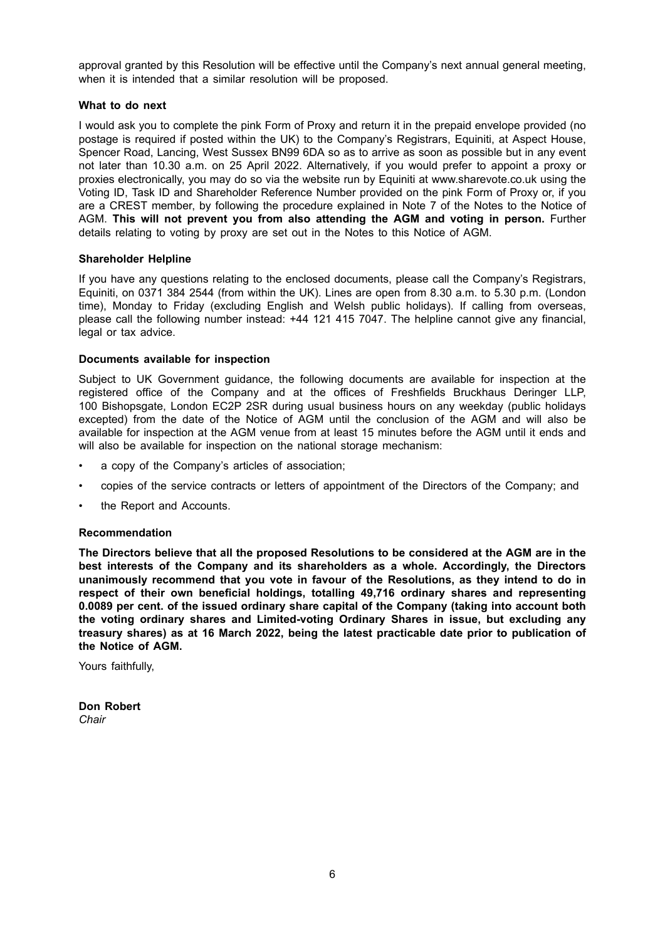approval granted by this Resolution will be effective until the Company's next annual general meeting, when it is intended that a similar resolution will be proposed.

# **What to do next**

I would ask you to complete the pink Form of Proxy and return it in the prepaid envelope provided (no postage is required if posted within the UK) to the Company's Registrars, Equiniti, at Aspect House, Spencer Road, Lancing, West Sussex BN99 6DA so as to arrive as soon as possible but in any event not later than 10.30 a.m. on 25 April 2022. Alternatively, if you would prefer to appoint a proxy or proxies electronically, you may do so via the website run by Equiniti at www.sharevote.co.uk using the Voting ID, Task ID and Shareholder Reference Number provided on the pink Form of Proxy or, if you are a CREST member, by following the procedure explained in Note 7 of the Notes to the Notice of AGM. **This will not prevent you from also attending the AGM and voting in person.** Further details relating to voting by proxy are set out in the Notes to this Notice of AGM.

## **Shareholder Helpline**

If you have any questions relating to the enclosed documents, please call the Company's Registrars, Equiniti, on 0371 384 2544 (from within the UK). Lines are open from 8.30 a.m. to 5.30 p.m. (London time), Monday to Friday (excluding English and Welsh public holidays). If calling from overseas, please call the following number instead: +44 121 415 7047. The helpline cannot give any financial, legal or tax advice.

## **Documents available for inspection**

Subject to UK Government guidance, the following documents are available for inspection at the registered office of the Company and at the offices of Freshfields Bruckhaus Deringer LLP, 100 Bishopsgate, London EC2P 2SR during usual business hours on any weekday (public holidays excepted) from the date of the Notice of AGM until the conclusion of the AGM and will also be available for inspection at the AGM venue from at least 15 minutes before the AGM until it ends and will also be available for inspection on the national storage mechanism:

- a copy of the Company's articles of association;
- copies of the service contracts or letters of appointment of the Directors of the Company; and
- the Report and Accounts.

## **Recommendation**

**The Directors believe that all the proposed Resolutions to be considered at the AGM are in the best interests of the Company and its shareholders as a whole. Accordingly, the Directors unanimously recommend that you vote in favour of the Resolutions, as they intend to do in respect of their own beneficial holdings, totalling 49,716 ordinary shares and representing 0.0089 per cent. of the issued ordinary share capital of the Company (taking into account both the voting ordinary shares and Limited-voting Ordinary Shares in issue, but excluding any treasury shares) as at 16 March 2022, being the latest practicable date prior to publication of the Notice of AGM.**

Yours faithfully,

**Don Robert** *Chair*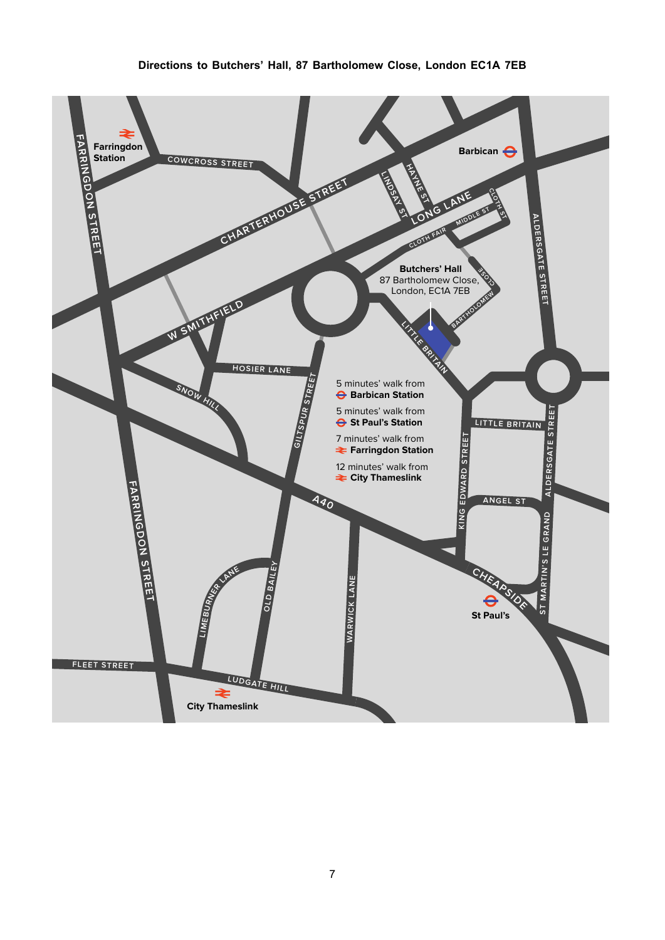# **Directions to Butchers' Hall, 87 Bartholomew Close, London EC1A 7EB**

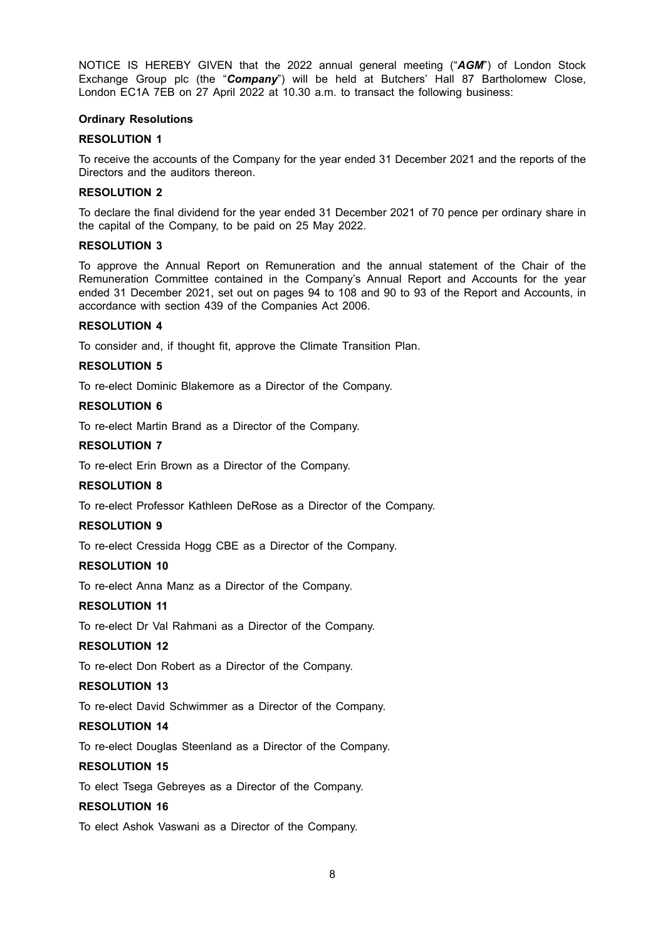NOTICE IS HEREBY GIVEN that the 2022 annual general meeting ("*AGM*") of London Stock Exchange Group plc (the "*Company*") will be held at Butchers' Hall 87 Bartholomew Close, London EC1A 7EB on 27 April 2022 at 10.30 a.m. to transact the following business:

## **Ordinary Resolutions**

## **RESOLUTION 1**

To receive the accounts of the Company for the year ended 31 December 2021 and the reports of the Directors and the auditors thereon.

# **RESOLUTION 2**

To declare the final dividend for the year ended 31 December 2021 of 70 pence per ordinary share in the capital of the Company, to be paid on 25 May 2022.

## **RESOLUTION 3**

To approve the Annual Report on Remuneration and the annual statement of the Chair of the Remuneration Committee contained in the Company's Annual Report and Accounts for the year ended 31 December 2021, set out on pages 94 to 108 and 90 to 93 of the Report and Accounts, in accordance with section 439 of the Companies Act 2006.

## **RESOLUTION 4**

To consider and, if thought fit, approve the Climate Transition Plan.

## **RESOLUTION 5**

To re-elect Dominic Blakemore as a Director of the Company.

## **RESOLUTION 6**

To re-elect Martin Brand as a Director of the Company.

## **RESOLUTION 7**

To re-elect Erin Brown as a Director of the Company.

# **RESOLUTION 8**

To re-elect Professor Kathleen DeRose as a Director of the Company.

# **RESOLUTION 9**

To re-elect Cressida Hogg CBE as a Director of the Company.

## **RESOLUTION 10**

To re-elect Anna Manz as a Director of the Company.

# **RESOLUTION 11**

To re-elect Dr Val Rahmani as a Director of the Company.

## **RESOLUTION 12**

To re-elect Don Robert as a Director of the Company.

## **RESOLUTION 13**

To re-elect David Schwimmer as a Director of the Company.

## **RESOLUTION 14**

To re-elect Douglas Steenland as a Director of the Company.

## **RESOLUTION 15**

To elect Tsega Gebreyes as a Director of the Company.

## **RESOLUTION 16**

To elect Ashok Vaswani as a Director of the Company.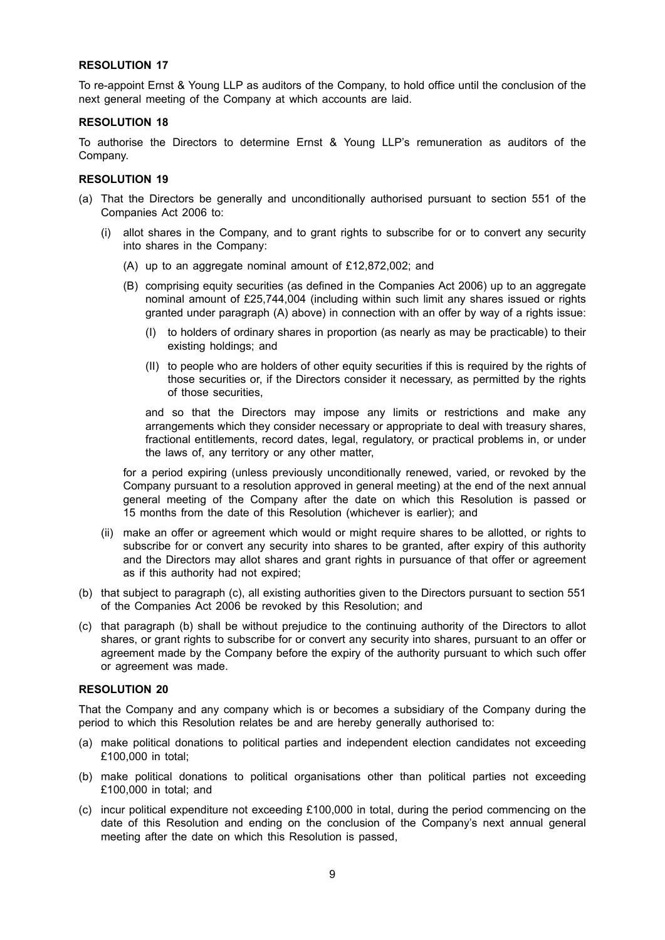# **RESOLUTION 17**

To re-appoint Ernst & Young LLP as auditors of the Company, to hold office until the conclusion of the next general meeting of the Company at which accounts are laid.

## **RESOLUTION 18**

To authorise the Directors to determine Ernst & Young LLP's remuneration as auditors of the Company.

# **RESOLUTION 19**

- (a) That the Directors be generally and unconditionally authorised pursuant to section 551 of the Companies Act 2006 to:
	- (i) allot shares in the Company, and to grant rights to subscribe for or to convert any security into shares in the Company:
		- (A) up to an aggregate nominal amount of £12,872,002; and
		- (B) comprising equity securities (as defined in the Companies Act 2006) up to an aggregate nominal amount of £25,744,004 (including within such limit any shares issued or rights granted under paragraph (A) above) in connection with an offer by way of a rights issue:
			- (I) to holders of ordinary shares in proportion (as nearly as may be practicable) to their existing holdings; and
			- (II) to people who are holders of other equity securities if this is required by the rights of those securities or, if the Directors consider it necessary, as permitted by the rights of those securities,

and so that the Directors may impose any limits or restrictions and make any arrangements which they consider necessary or appropriate to deal with treasury shares, fractional entitlements, record dates, legal, regulatory, or practical problems in, or under the laws of, any territory or any other matter,

for a period expiring (unless previously unconditionally renewed, varied, or revoked by the Company pursuant to a resolution approved in general meeting) at the end of the next annual general meeting of the Company after the date on which this Resolution is passed or 15 months from the date of this Resolution (whichever is earlier); and

- (ii) make an offer or agreement which would or might require shares to be allotted, or rights to subscribe for or convert any security into shares to be granted, after expiry of this authority and the Directors may allot shares and grant rights in pursuance of that offer or agreement as if this authority had not expired;
- (b) that subject to paragraph (c), all existing authorities given to the Directors pursuant to section 551 of the Companies Act 2006 be revoked by this Resolution; and
- (c) that paragraph (b) shall be without prejudice to the continuing authority of the Directors to allot shares, or grant rights to subscribe for or convert any security into shares, pursuant to an offer or agreement made by the Company before the expiry of the authority pursuant to which such offer or agreement was made.

## **RESOLUTION 20**

That the Company and any company which is or becomes a subsidiary of the Company during the period to which this Resolution relates be and are hereby generally authorised to:

- (a) make political donations to political parties and independent election candidates not exceeding £100,000 in total;
- (b) make political donations to political organisations other than political parties not exceeding £100,000 in total; and
- (c) incur political expenditure not exceeding £100,000 in total, during the period commencing on the date of this Resolution and ending on the conclusion of the Company's next annual general meeting after the date on which this Resolution is passed,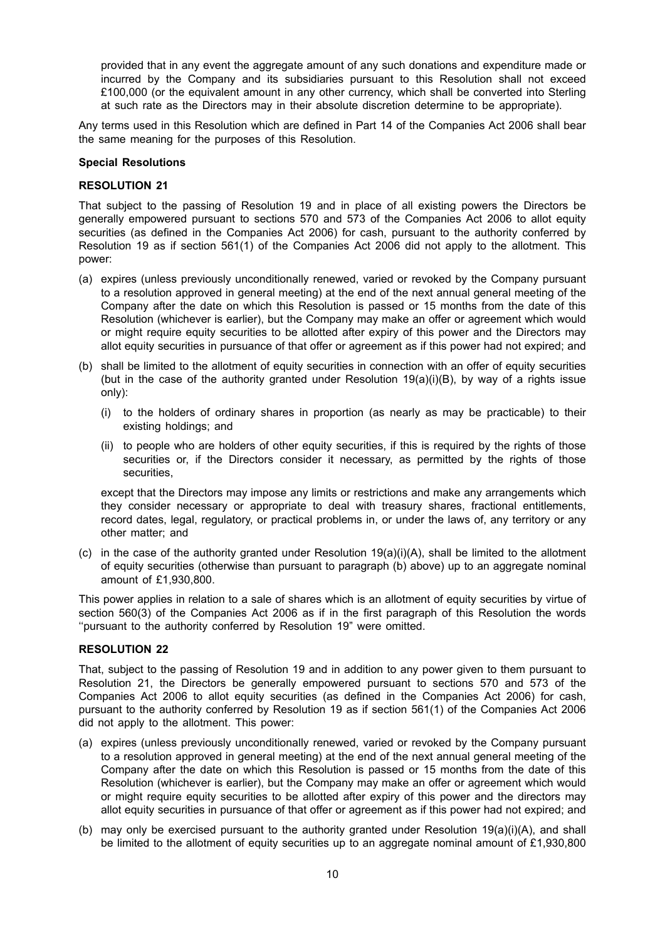provided that in any event the aggregate amount of any such donations and expenditure made or incurred by the Company and its subsidiaries pursuant to this Resolution shall not exceed £100,000 (or the equivalent amount in any other currency, which shall be converted into Sterling at such rate as the Directors may in their absolute discretion determine to be appropriate).

Any terms used in this Resolution which are defined in Part 14 of the Companies Act 2006 shall bear the same meaning for the purposes of this Resolution.

#### **Special Resolutions**

## **RESOLUTION 21**

That subject to the passing of Resolution 19 and in place of all existing powers the Directors be generally empowered pursuant to sections 570 and 573 of the Companies Act 2006 to allot equity securities (as defined in the Companies Act 2006) for cash, pursuant to the authority conferred by Resolution 19 as if section 561(1) of the Companies Act 2006 did not apply to the allotment. This power:

- (a) expires (unless previously unconditionally renewed, varied or revoked by the Company pursuant to a resolution approved in general meeting) at the end of the next annual general meeting of the Company after the date on which this Resolution is passed or 15 months from the date of this Resolution (whichever is earlier), but the Company may make an offer or agreement which would or might require equity securities to be allotted after expiry of this power and the Directors may allot equity securities in pursuance of that offer or agreement as if this power had not expired; and
- (b) shall be limited to the allotment of equity securities in connection with an offer of equity securities (but in the case of the authority granted under Resolution  $19(a)(i)(B)$ , by way of a rights issue only):
	- (i) to the holders of ordinary shares in proportion (as nearly as may be practicable) to their existing holdings; and
	- (ii) to people who are holders of other equity securities, if this is required by the rights of those securities or, if the Directors consider it necessary, as permitted by the rights of those securities,

except that the Directors may impose any limits or restrictions and make any arrangements which they consider necessary or appropriate to deal with treasury shares, fractional entitlements, record dates, legal, regulatory, or practical problems in, or under the laws of, any territory or any other matter; and

(c) in the case of the authority granted under Resolution 19(a)(i)(A), shall be limited to the allotment of equity securities (otherwise than pursuant to paragraph (b) above) up to an aggregate nominal amount of £1,930,800.

This power applies in relation to a sale of shares which is an allotment of equity securities by virtue of section 560(3) of the Companies Act 2006 as if in the first paragraph of this Resolution the words ''pursuant to the authority conferred by Resolution 19" were omitted.

## **RESOLUTION 22**

That, subject to the passing of Resolution 19 and in addition to any power given to them pursuant to Resolution 21, the Directors be generally empowered pursuant to sections 570 and 573 of the Companies Act 2006 to allot equity securities (as defined in the Companies Act 2006) for cash, pursuant to the authority conferred by Resolution 19 as if section 561(1) of the Companies Act 2006 did not apply to the allotment. This power:

- (a) expires (unless previously unconditionally renewed, varied or revoked by the Company pursuant to a resolution approved in general meeting) at the end of the next annual general meeting of the Company after the date on which this Resolution is passed or 15 months from the date of this Resolution (whichever is earlier), but the Company may make an offer or agreement which would or might require equity securities to be allotted after expiry of this power and the directors may allot equity securities in pursuance of that offer or agreement as if this power had not expired; and
- (b) may only be exercised pursuant to the authority granted under Resolution 19(a)(i)(A), and shall be limited to the allotment of equity securities up to an aggregate nominal amount of £1,930,800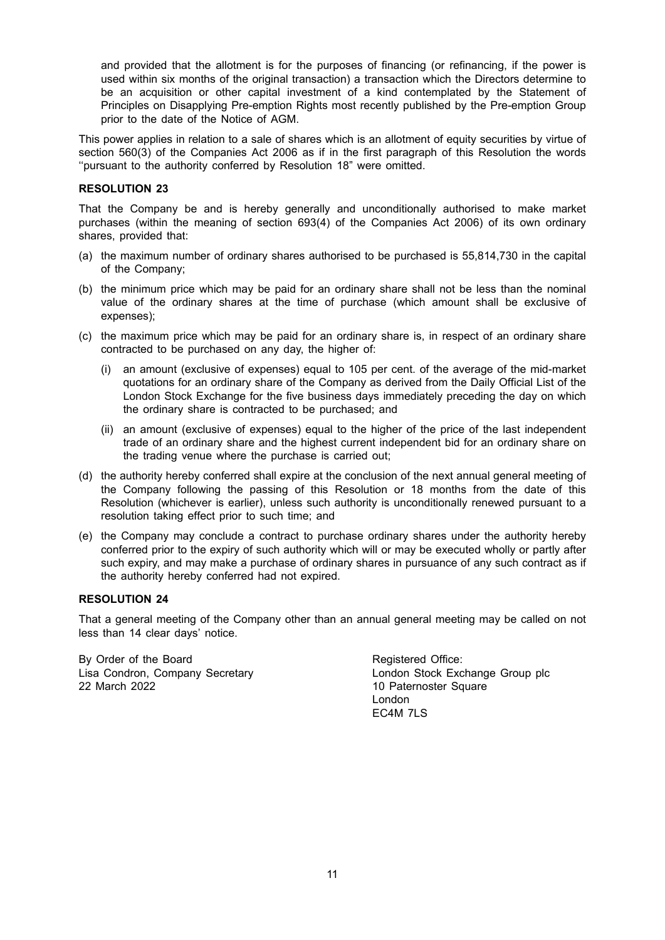and provided that the allotment is for the purposes of financing (or refinancing, if the power is used within six months of the original transaction) a transaction which the Directors determine to be an acquisition or other capital investment of a kind contemplated by the Statement of Principles on Disapplying Pre-emption Rights most recently published by the Pre-emption Group prior to the date of the Notice of AGM.

This power applies in relation to a sale of shares which is an allotment of equity securities by virtue of section 560(3) of the Companies Act 2006 as if in the first paragraph of this Resolution the words ''pursuant to the authority conferred by Resolution 18" were omitted.

# **RESOLUTION 23**

That the Company be and is hereby generally and unconditionally authorised to make market purchases (within the meaning of section 693(4) of the Companies Act 2006) of its own ordinary shares, provided that:

- (a) the maximum number of ordinary shares authorised to be purchased is 55,814,730 in the capital of the Company;
- (b) the minimum price which may be paid for an ordinary share shall not be less than the nominal value of the ordinary shares at the time of purchase (which amount shall be exclusive of expenses);
- (c) the maximum price which may be paid for an ordinary share is, in respect of an ordinary share contracted to be purchased on any day, the higher of:
	- an amount (exclusive of expenses) equal to 105 per cent. of the average of the mid-market quotations for an ordinary share of the Company as derived from the Daily Official List of the London Stock Exchange for the five business days immediately preceding the day on which the ordinary share is contracted to be purchased; and
	- (ii) an amount (exclusive of expenses) equal to the higher of the price of the last independent trade of an ordinary share and the highest current independent bid for an ordinary share on the trading venue where the purchase is carried out;
- (d) the authority hereby conferred shall expire at the conclusion of the next annual general meeting of the Company following the passing of this Resolution or 18 months from the date of this Resolution (whichever is earlier), unless such authority is unconditionally renewed pursuant to a resolution taking effect prior to such time; and
- (e) the Company may conclude a contract to purchase ordinary shares under the authority hereby conferred prior to the expiry of such authority which will or may be executed wholly or partly after such expiry, and may make a purchase of ordinary shares in pursuance of any such contract as if the authority hereby conferred had not expired.

## **RESOLUTION 24**

That a general meeting of the Company other than an annual general meeting may be called on not less than 14 clear days' notice.

By Order of the Board Lisa Condron, Company Secretary 22 March 2022

Registered Office: London Stock Exchange Group plc 10 Paternoster Square London EC4M 7LS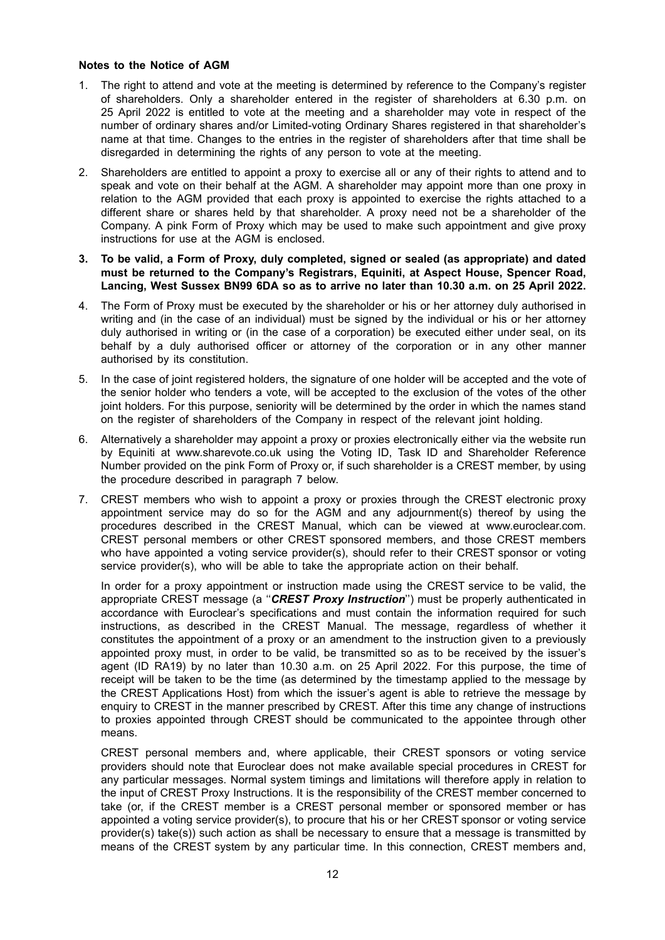## **Notes to the Notice of AGM**

- 1. The right to attend and vote at the meeting is determined by reference to the Company's register of shareholders. Only a shareholder entered in the register of shareholders at 6.30 p.m. on 25 April 2022 is entitled to vote at the meeting and a shareholder may vote in respect of the number of ordinary shares and/or Limited-voting Ordinary Shares registered in that shareholder's name at that time. Changes to the entries in the register of shareholders after that time shall be disregarded in determining the rights of any person to vote at the meeting.
- 2. Shareholders are entitled to appoint a proxy to exercise all or any of their rights to attend and to speak and vote on their behalf at the AGM. A shareholder may appoint more than one proxy in relation to the AGM provided that each proxy is appointed to exercise the rights attached to a different share or shares held by that shareholder. A proxy need not be a shareholder of the Company. A pink Form of Proxy which may be used to make such appointment and give proxy instructions for use at the AGM is enclosed.
- **3. To be valid, a Form of Proxy, duly completed, signed or sealed (as appropriate) and dated must be returned to the Company's Registrars, Equiniti, at Aspect House, Spencer Road, Lancing, West Sussex BN99 6DA so as to arrive no later than 10.30 a.m. on 25 April 2022.**
- 4. The Form of Proxy must be executed by the shareholder or his or her attorney duly authorised in writing and (in the case of an individual) must be signed by the individual or his or her attorney duly authorised in writing or (in the case of a corporation) be executed either under seal, on its behalf by a duly authorised officer or attorney of the corporation or in any other manner authorised by its constitution.
- 5. In the case of joint registered holders, the signature of one holder will be accepted and the vote of the senior holder who tenders a vote, will be accepted to the exclusion of the votes of the other joint holders. For this purpose, seniority will be determined by the order in which the names stand on the register of shareholders of the Company in respect of the relevant joint holding.
- 6. Alternatively a shareholder may appoint a proxy or proxies electronically either via the website run by Equiniti at www.sharevote.co.uk using the Voting ID, Task ID and Shareholder Reference Number provided on the pink Form of Proxy or, if such shareholder is a CREST member, by using the procedure described in paragraph 7 below.
- 7. CREST members who wish to appoint a proxy or proxies through the CREST electronic proxy appointment service may do so for the AGM and any adjournment(s) thereof by using the procedures described in the CREST Manual, which can be viewed at www.euroclear.com. CREST personal members or other CREST sponsored members, and those CREST members who have appointed a voting service provider(s), should refer to their CREST sponsor or voting service provider(s), who will be able to take the appropriate action on their behalf.

In order for a proxy appointment or instruction made using the CREST service to be valid, the appropriate CREST message (a ''*CREST Proxy Instruction*'') must be properly authenticated in accordance with Euroclear's specifications and must contain the information required for such instructions, as described in the CREST Manual. The message, regardless of whether it constitutes the appointment of a proxy or an amendment to the instruction given to a previously appointed proxy must, in order to be valid, be transmitted so as to be received by the issuer's agent (ID RA19) by no later than 10.30 a.m. on 25 April 2022. For this purpose, the time of receipt will be taken to be the time (as determined by the timestamp applied to the message by the CREST Applications Host) from which the issuer's agent is able to retrieve the message by enquiry to CREST in the manner prescribed by CREST. After this time any change of instructions to proxies appointed through CREST should be communicated to the appointee through other means.

CREST personal members and, where applicable, their CREST sponsors or voting service providers should note that Euroclear does not make available special procedures in CREST for any particular messages. Normal system timings and limitations will therefore apply in relation to the input of CREST Proxy Instructions. It is the responsibility of the CREST member concerned to take (or, if the CREST member is a CREST personal member or sponsored member or has appointed a voting service provider(s), to procure that his or her CREST sponsor or voting service provider(s) take(s)) such action as shall be necessary to ensure that a message is transmitted by means of the CREST system by any particular time. In this connection, CREST members and,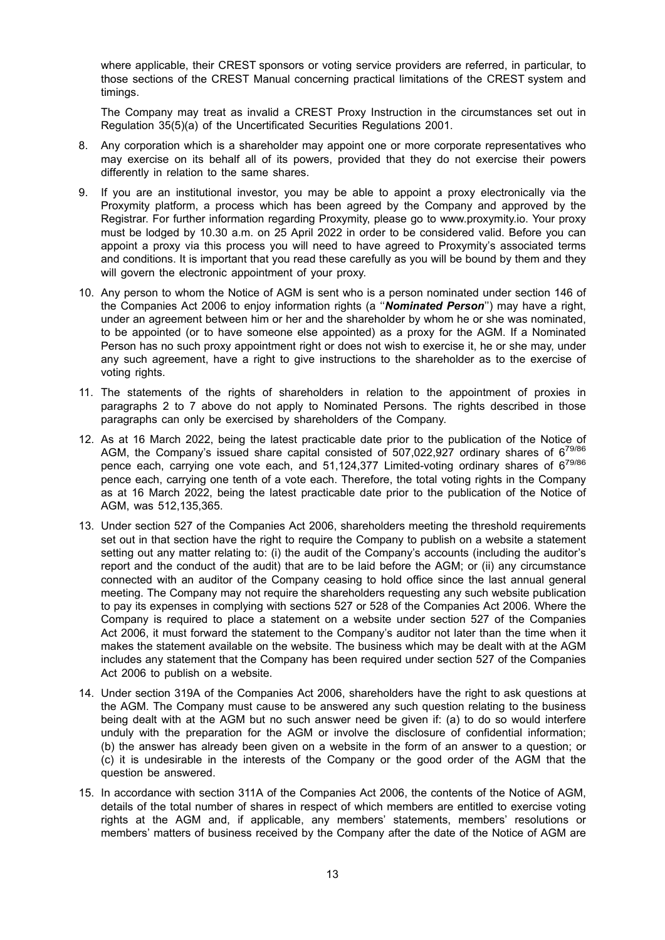where applicable, their CREST sponsors or voting service providers are referred, in particular, to those sections of the CREST Manual concerning practical limitations of the CREST system and timings.

The Company may treat as invalid a CREST Proxy Instruction in the circumstances set out in Regulation 35(5)(a) of the Uncertificated Securities Regulations 2001.

- 8. Any corporation which is a shareholder may appoint one or more corporate representatives who may exercise on its behalf all of its powers, provided that they do not exercise their powers differently in relation to the same shares.
- 9. If you are an institutional investor, you may be able to appoint a proxy electronically via the Proxymity platform, a process which has been agreed by the Company and approved by the Registrar. For further information regarding Proxymity, please go to www.proxymity.io. Your proxy must be lodged by 10.30 a.m. on 25 April 2022 in order to be considered valid. Before you can appoint a proxy via this process you will need to have agreed to Proxymity's associated terms and conditions. It is important that you read these carefully as you will be bound by them and they will govern the electronic appointment of your proxy.
- 10. Any person to whom the Notice of AGM is sent who is a person nominated under section 146 of the Companies Act 2006 to enjoy information rights (a ''*Nominated Person*'') may have a right, under an agreement between him or her and the shareholder by whom he or she was nominated, to be appointed (or to have someone else appointed) as a proxy for the AGM. If a Nominated Person has no such proxy appointment right or does not wish to exercise it, he or she may, under any such agreement, have a right to give instructions to the shareholder as to the exercise of voting rights.
- 11. The statements of the rights of shareholders in relation to the appointment of proxies in paragraphs 2 to 7 above do not apply to Nominated Persons. The rights described in those paragraphs can only be exercised by shareholders of the Company.
- 12. As at 16 March 2022, being the latest practicable date prior to the publication of the Notice of AGM, the Company's issued share capital consisted of 507,022,927 ordinary shares of 6<sup>79/86</sup> pence each, carrying one vote each, and 51,124,377 Limited-voting ordinary shares of 6<sup>79/86</sup> pence each, carrying one tenth of a vote each. Therefore, the total voting rights in the Company as at 16 March 2022, being the latest practicable date prior to the publication of the Notice of AGM, was 512,135,365.
- 13. Under section 527 of the Companies Act 2006, shareholders meeting the threshold requirements set out in that section have the right to require the Company to publish on a website a statement setting out any matter relating to: (i) the audit of the Company's accounts (including the auditor's report and the conduct of the audit) that are to be laid before the AGM; or (ii) any circumstance connected with an auditor of the Company ceasing to hold office since the last annual general meeting. The Company may not require the shareholders requesting any such website publication to pay its expenses in complying with sections 527 or 528 of the Companies Act 2006. Where the Company is required to place a statement on a website under section 527 of the Companies Act 2006, it must forward the statement to the Company's auditor not later than the time when it makes the statement available on the website. The business which may be dealt with at the AGM includes any statement that the Company has been required under section 527 of the Companies Act 2006 to publish on a website.
- 14. Under section 319A of the Companies Act 2006, shareholders have the right to ask questions at the AGM. The Company must cause to be answered any such question relating to the business being dealt with at the AGM but no such answer need be given if: (a) to do so would interfere unduly with the preparation for the AGM or involve the disclosure of confidential information; (b) the answer has already been given on a website in the form of an answer to a question; or (c) it is undesirable in the interests of the Company or the good order of the AGM that the question be answered.
- 15. In accordance with section 311A of the Companies Act 2006, the contents of the Notice of AGM, details of the total number of shares in respect of which members are entitled to exercise voting rights at the AGM and, if applicable, any members' statements, members' resolutions or members' matters of business received by the Company after the date of the Notice of AGM are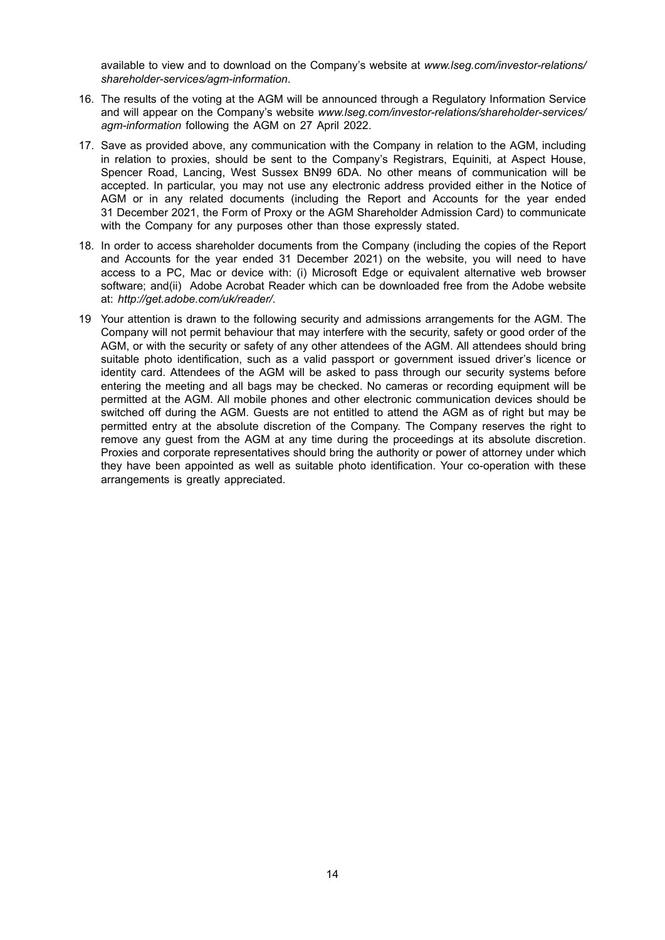available to view and to download on the Company's website at *www.lseg.com/investor-relations/ shareholder-services/agm-information*.

- 16. The results of the voting at the AGM will be announced through a Regulatory Information Service and will appear on the Company's website *www.lseg.com/investor-relations/shareholder-services/ agm-information* following the AGM on 27 April 2022.
- 17. Save as provided above, any communication with the Company in relation to the AGM, including in relation to proxies, should be sent to the Company's Registrars, Equiniti, at Aspect House, Spencer Road, Lancing, West Sussex BN99 6DA. No other means of communication will be accepted. In particular, you may not use any electronic address provided either in the Notice of AGM or in any related documents (including the Report and Accounts for the year ended 31 December 2021, the Form of Proxy or the AGM Shareholder Admission Card) to communicate with the Company for any purposes other than those expressly stated.
- 18. In order to access shareholder documents from the Company (including the copies of the Report and Accounts for the year ended 31 December 2021) on the website, you will need to have access to a PC, Mac or device with: (i) Microsoft Edge or equivalent alternative web browser software; and(ii) Adobe Acrobat Reader which can be downloaded free from the Adobe website at: *http://get.adobe.com/uk/reader/*.
- 19 Your attention is drawn to the following security and admissions arrangements for the AGM. The Company will not permit behaviour that may interfere with the security, safety or good order of the AGM, or with the security or safety of any other attendees of the AGM. All attendees should bring suitable photo identification, such as a valid passport or government issued driver's licence or identity card. Attendees of the AGM will be asked to pass through our security systems before entering the meeting and all bags may be checked. No cameras or recording equipment will be permitted at the AGM. All mobile phones and other electronic communication devices should be switched off during the AGM. Guests are not entitled to attend the AGM as of right but may be permitted entry at the absolute discretion of the Company. The Company reserves the right to remove any guest from the AGM at any time during the proceedings at its absolute discretion. Proxies and corporate representatives should bring the authority or power of attorney under which they have been appointed as well as suitable photo identification. Your co-operation with these arrangements is greatly appreciated.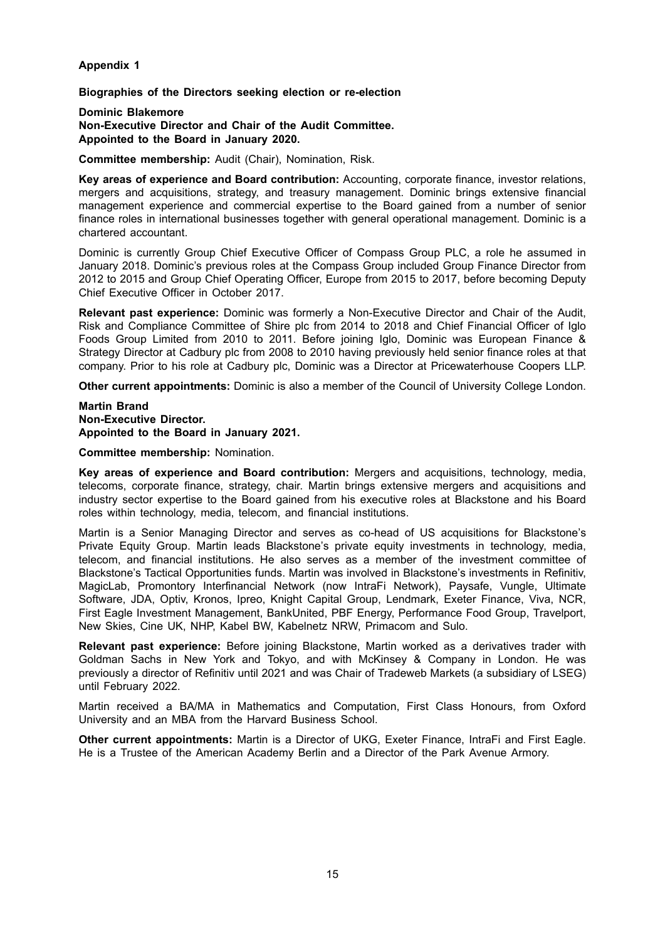# **Appendix 1**

## **Biographies of the Directors seeking election or re-election**

#### **Dominic Blakemore Non-Executive Director and Chair of the Audit Committee. Appointed to the Board in January 2020.**

**Committee membership:** Audit (Chair), Nomination, Risk.

**Key areas of experience and Board contribution:** Accounting, corporate finance, investor relations, mergers and acquisitions, strategy, and treasury management. Dominic brings extensive financial management experience and commercial expertise to the Board gained from a number of senior finance roles in international businesses together with general operational management. Dominic is a chartered accountant.

Dominic is currently Group Chief Executive Officer of Compass Group PLC, a role he assumed in January 2018. Dominic's previous roles at the Compass Group included Group Finance Director from 2012 to 2015 and Group Chief Operating Officer, Europe from 2015 to 2017, before becoming Deputy Chief Executive Officer in October 2017.

**Relevant past experience:** Dominic was formerly a Non-Executive Director and Chair of the Audit, Risk and Compliance Committee of Shire plc from 2014 to 2018 and Chief Financial Officer of Iglo Foods Group Limited from 2010 to 2011. Before joining Iglo, Dominic was European Finance & Strategy Director at Cadbury plc from 2008 to 2010 having previously held senior finance roles at that company. Prior to his role at Cadbury plc, Dominic was a Director at Pricewaterhouse Coopers LLP.

**Other current appointments:** Dominic is also a member of the Council of University College London.

**Martin Brand Non-Executive Director. Appointed to the Board in January 2021.**

**Committee membership:** Nomination.

**Key areas of experience and Board contribution:** Mergers and acquisitions, technology, media, telecoms, corporate finance, strategy, chair. Martin brings extensive mergers and acquisitions and industry sector expertise to the Board gained from his executive roles at Blackstone and his Board roles within technology, media, telecom, and financial institutions.

Martin is a Senior Managing Director and serves as co-head of US acquisitions for Blackstone's Private Equity Group. Martin leads Blackstone's private equity investments in technology, media, telecom, and financial institutions. He also serves as a member of the investment committee of Blackstone's Tactical Opportunities funds. Martin was involved in Blackstone's investments in Refinitiv, MagicLab, Promontory Interfinancial Network (now IntraFi Network), Paysafe, Vungle, Ultimate Software, JDA, Optiv, Kronos, Ipreo, Knight Capital Group, Lendmark, Exeter Finance, Viva, NCR, First Eagle Investment Management, BankUnited, PBF Energy, Performance Food Group, Travelport, New Skies, Cine UK, NHP, Kabel BW, Kabelnetz NRW, Primacom and Sulo.

**Relevant past experience:** Before joining Blackstone, Martin worked as a derivatives trader with Goldman Sachs in New York and Tokyo, and with McKinsey & Company in London. He was previously a director of Refinitiv until 2021 and was Chair of Tradeweb Markets (a subsidiary of LSEG) until February 2022.

Martin received a BA/MA in Mathematics and Computation, First Class Honours, from Oxford University and an MBA from the Harvard Business School.

**Other current appointments:** Martin is a Director of UKG, Exeter Finance, IntraFi and First Eagle. He is a Trustee of the American Academy Berlin and a Director of the Park Avenue Armory.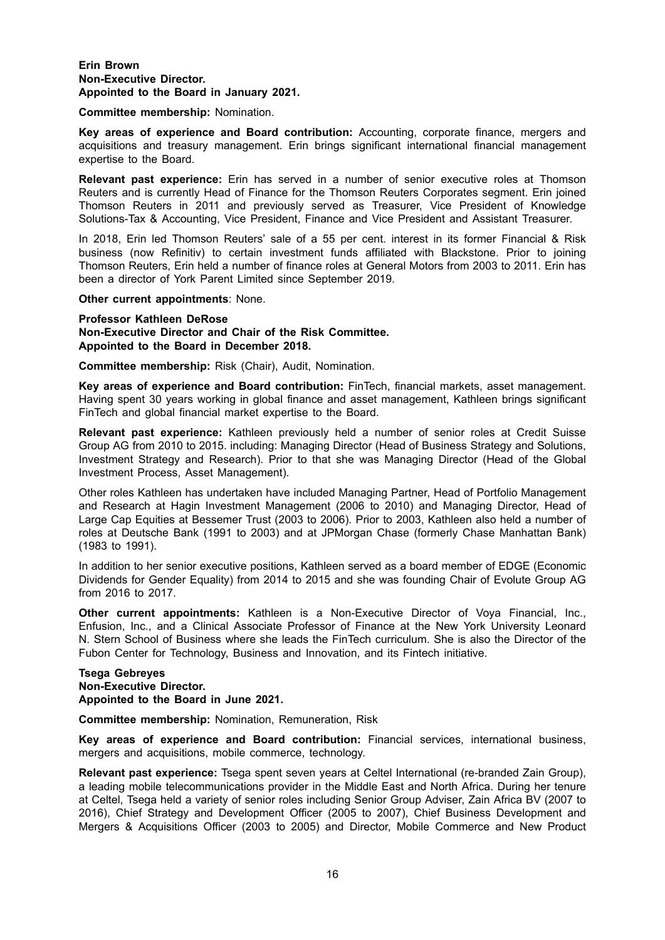## **Erin Brown Non-Executive Director. Appointed to the Board in January 2021.**

#### **Committee membership:** Nomination.

**Key areas of experience and Board contribution:** Accounting, corporate finance, mergers and acquisitions and treasury management. Erin brings significant international financial management expertise to the Board.

**Relevant past experience:** Erin has served in a number of senior executive roles at Thomson Reuters and is currently Head of Finance for the Thomson Reuters Corporates segment. Erin joined Thomson Reuters in 2011 and previously served as Treasurer, Vice President of Knowledge Solutions-Tax & Accounting, Vice President, Finance and Vice President and Assistant Treasurer.

In 2018, Erin led Thomson Reuters' sale of a 55 per cent. interest in its former Financial & Risk business (now Refinitiv) to certain investment funds affiliated with Blackstone. Prior to joining Thomson Reuters, Erin held a number of finance roles at General Motors from 2003 to 2011. Erin has been a director of York Parent Limited since September 2019.

**Other current appointments**: None.

#### **Professor Kathleen DeRose Non-Executive Director and Chair of the Risk Committee. Appointed to the Board in December 2018.**

**Committee membership:** Risk (Chair), Audit, Nomination.

**Key areas of experience and Board contribution:** FinTech, financial markets, asset management. Having spent 30 years working in global finance and asset management, Kathleen brings significant FinTech and global financial market expertise to the Board.

**Relevant past experience:** Kathleen previously held a number of senior roles at Credit Suisse Group AG from 2010 to 2015. including: Managing Director (Head of Business Strategy and Solutions, Investment Strategy and Research). Prior to that she was Managing Director (Head of the Global Investment Process, Asset Management).

Other roles Kathleen has undertaken have included Managing Partner, Head of Portfolio Management and Research at Hagin Investment Management (2006 to 2010) and Managing Director, Head of Large Cap Equities at Bessemer Trust (2003 to 2006). Prior to 2003, Kathleen also held a number of roles at Deutsche Bank (1991 to 2003) and at JPMorgan Chase (formerly Chase Manhattan Bank) (1983 to 1991).

In addition to her senior executive positions, Kathleen served as a board member of EDGE (Economic Dividends for Gender Equality) from 2014 to 2015 and she was founding Chair of Evolute Group AG from 2016 to 2017.

**Other current appointments:** Kathleen is a Non-Executive Director of Voya Financial, Inc., Enfusion, Inc., and a Clinical Associate Professor of Finance at the New York University Leonard N. Stern School of Business where she leads the FinTech curriculum. She is also the Director of the Fubon Center for Technology, Business and Innovation, and its Fintech initiative.

**Tsega Gebreyes Non-Executive Director. Appointed to the Board in June 2021.**

**Committee membership:** Nomination, Remuneration, Risk

**Key areas of experience and Board contribution:** Financial services, international business, mergers and acquisitions, mobile commerce, technology.

**Relevant past experience:** Tsega spent seven years at Celtel International (re-branded Zain Group), a leading mobile telecommunications provider in the Middle East and North Africa. During her tenure at Celtel, Tsega held a variety of senior roles including Senior Group Adviser, Zain Africa BV (2007 to 2016), Chief Strategy and Development Officer (2005 to 2007), Chief Business Development and Mergers & Acquisitions Officer (2003 to 2005) and Director, Mobile Commerce and New Product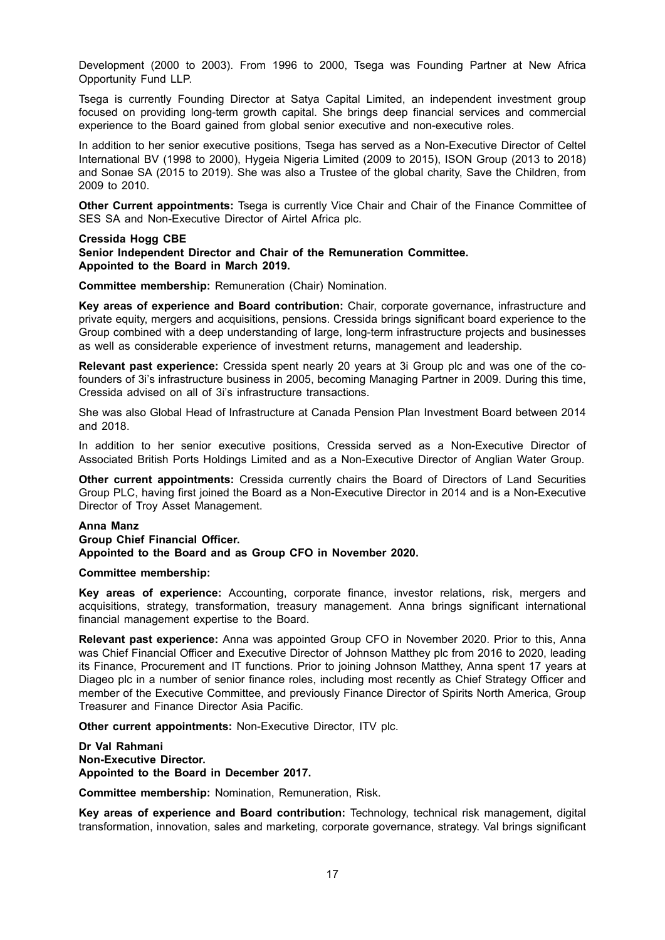Development (2000 to 2003). From 1996 to 2000, Tsega was Founding Partner at New Africa Opportunity Fund LLP.

Tsega is currently Founding Director at Satya Capital Limited, an independent investment group focused on providing long-term growth capital. She brings deep financial services and commercial experience to the Board gained from global senior executive and non-executive roles.

In addition to her senior executive positions, Tsega has served as a Non-Executive Director of Celtel International BV (1998 to 2000), Hygeia Nigeria Limited (2009 to 2015), ISON Group (2013 to 2018) and Sonae SA (2015 to 2019). She was also a Trustee of the global charity, Save the Children, from 2009 to 2010.

**Other Current appointments:** Tsega is currently Vice Chair and Chair of the Finance Committee of SES SA and Non-Executive Director of Airtel Africa plc.

#### **Cressida Hogg CBE Senior Independent Director and Chair of the Remuneration Committee. Appointed to the Board in March 2019.**

**Committee membership:** Remuneration (Chair) Nomination.

**Key areas of experience and Board contribution:** Chair, corporate governance, infrastructure and private equity, mergers and acquisitions, pensions. Cressida brings significant board experience to the Group combined with a deep understanding of large, long-term infrastructure projects and businesses as well as considerable experience of investment returns, management and leadership.

**Relevant past experience:** Cressida spent nearly 20 years at 3i Group plc and was one of the cofounders of 3i's infrastructure business in 2005, becoming Managing Partner in 2009. During this time, Cressida advised on all of 3i's infrastructure transactions.

She was also Global Head of Infrastructure at Canada Pension Plan Investment Board between 2014 and 2018.

In addition to her senior executive positions, Cressida served as a Non-Executive Director of Associated British Ports Holdings Limited and as a Non-Executive Director of Anglian Water Group.

**Other current appointments:** Cressida currently chairs the Board of Directors of Land Securities Group PLC, having first joined the Board as a Non-Executive Director in 2014 and is a Non-Executive Director of Troy Asset Management.

## **Anna Manz**

## **Group Chief Financial Officer. Appointed to the Board and as Group CFO in November 2020.**

#### **Committee membership:**

**Key areas of experience:** Accounting, corporate finance, investor relations, risk, mergers and acquisitions, strategy, transformation, treasury management. Anna brings significant international financial management expertise to the Board.

**Relevant past experience:** Anna was appointed Group CFO in November 2020. Prior to this, Anna was Chief Financial Officer and Executive Director of Johnson Matthey plc from 2016 to 2020, leading its Finance, Procurement and IT functions. Prior to joining Johnson Matthey, Anna spent 17 years at Diageo plc in a number of senior finance roles, including most recently as Chief Strategy Officer and member of the Executive Committee, and previously Finance Director of Spirits North America, Group Treasurer and Finance Director Asia Pacific.

**Other current appointments:** Non-Executive Director, ITV plc.

## **Dr Val Rahmani Non-Executive Director. Appointed to the Board in December 2017.**

**Committee membership:** Nomination, Remuneration, Risk.

**Key areas of experience and Board contribution:** Technology, technical risk management, digital transformation, innovation, sales and marketing, corporate governance, strategy. Val brings significant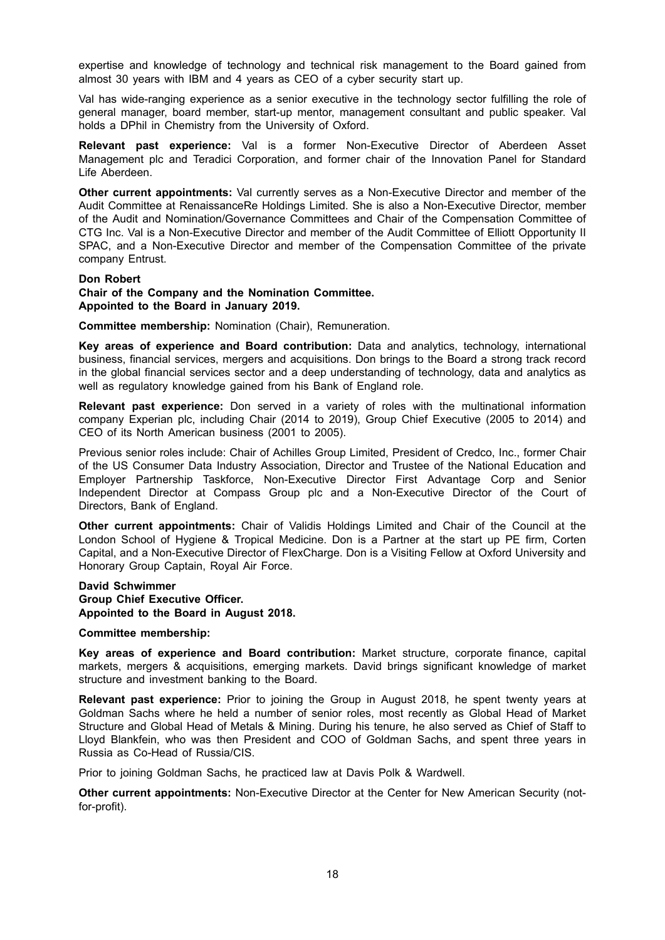expertise and knowledge of technology and technical risk management to the Board gained from almost 30 years with IBM and 4 years as CEO of a cyber security start up.

Val has wide-ranging experience as a senior executive in the technology sector fulfilling the role of general manager, board member, start-up mentor, management consultant and public speaker. Val holds a DPhil in Chemistry from the University of Oxford.

**Relevant past experience:** Val is a former Non-Executive Director of Aberdeen Asset Management plc and Teradici Corporation, and former chair of the Innovation Panel for Standard Life Aberdeen.

**Other current appointments:** Val currently serves as a Non-Executive Director and member of the Audit Committee at RenaissanceRe Holdings Limited. She is also a Non-Executive Director, member of the Audit and Nomination/Governance Committees and Chair of the Compensation Committee of CTG Inc. Val is a Non-Executive Director and member of the Audit Committee of Elliott Opportunity II SPAC, and a Non-Executive Director and member of the Compensation Committee of the private company Entrust.

## **Don Robert**

**Chair of the Company and the Nomination Committee. Appointed to the Board in January 2019.**

**Committee membership:** Nomination (Chair), Remuneration.

**Key areas of experience and Board contribution:** Data and analytics, technology, international business, financial services, mergers and acquisitions. Don brings to the Board a strong track record in the global financial services sector and a deep understanding of technology, data and analytics as well as regulatory knowledge gained from his Bank of England role.

**Relevant past experience:** Don served in a variety of roles with the multinational information company Experian plc, including Chair (2014 to 2019), Group Chief Executive (2005 to 2014) and CEO of its North American business (2001 to 2005).

Previous senior roles include: Chair of Achilles Group Limited, President of Credco, Inc., former Chair of the US Consumer Data Industry Association, Director and Trustee of the National Education and Employer Partnership Taskforce, Non-Executive Director First Advantage Corp and Senior Independent Director at Compass Group plc and a Non-Executive Director of the Court of Directors, Bank of England.

**Other current appointments:** Chair of Validis Holdings Limited and Chair of the Council at the London School of Hygiene & Tropical Medicine. Don is a Partner at the start up PE firm, Corten Capital, and a Non-Executive Director of FlexCharge. Don is a Visiting Fellow at Oxford University and Honorary Group Captain, Royal Air Force.

# **David Schwimmer Group Chief Executive Officer. Appointed to the Board in August 2018.**

## **Committee membership:**

**Key areas of experience and Board contribution:** Market structure, corporate finance, capital markets, mergers & acquisitions, emerging markets. David brings significant knowledge of market structure and investment banking to the Board.

**Relevant past experience:** Prior to joining the Group in August 2018, he spent twenty years at Goldman Sachs where he held a number of senior roles, most recently as Global Head of Market Structure and Global Head of Metals & Mining. During his tenure, he also served as Chief of Staff to Lloyd Blankfein, who was then President and COO of Goldman Sachs, and spent three years in Russia as Co-Head of Russia/CIS.

Prior to joining Goldman Sachs, he practiced law at Davis Polk & Wardwell.

**Other current appointments:** Non-Executive Director at the Center for New American Security (notfor-profit).